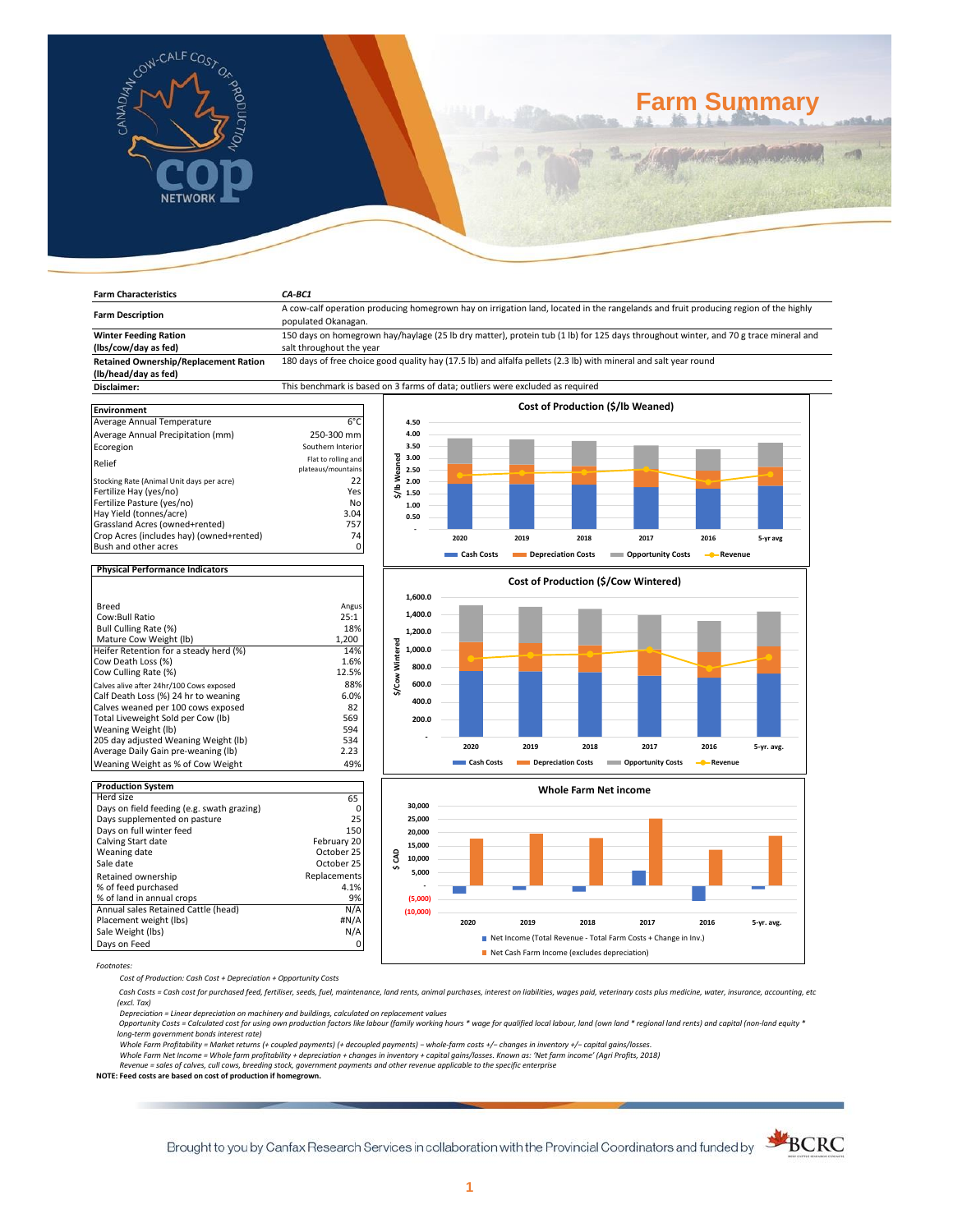

# **Farm Summary**

| <b>Farm Characteristics</b>                                                | CA-BC1                                                                                                                                                     |                                      |            |                    |      |                           |           |            |  |
|----------------------------------------------------------------------------|------------------------------------------------------------------------------------------------------------------------------------------------------------|--------------------------------------|------------|--------------------|------|---------------------------|-----------|------------|--|
| <b>Farm Description</b>                                                    | A cow-calf operation producing homegrown hay on irrigation land, located in the rangelands and fruit producing region of the highly<br>populated Okanagan. |                                      |            |                    |      |                           |           |            |  |
| <b>Winter Feeding Ration</b>                                               | 150 days on homegrown hay/haylage (25 lb dry matter), protein tub (1 lb) for 125 days throughout winter, and 70 g trace mineral and                        |                                      |            |                    |      |                           |           |            |  |
| (lbs/cow/day as fed)                                                       | salt throughout the year                                                                                                                                   |                                      |            |                    |      |                           |           |            |  |
| <b>Retained Ownership/Replacement Ration</b>                               | 180 days of free choice good quality hay (17.5 lb) and alfalfa pellets (2.3 lb) with mineral and salt year round                                           |                                      |            |                    |      |                           |           |            |  |
| (lb/head/day as fed)                                                       |                                                                                                                                                            |                                      |            |                    |      |                           |           |            |  |
| Disclaimer:                                                                | This benchmark is based on 3 farms of data; outliers were excluded as required                                                                             |                                      |            |                    |      |                           |           |            |  |
|                                                                            | Cost of Production (\$/lb Weaned)                                                                                                                          |                                      |            |                    |      |                           |           |            |  |
| <b>Environment</b><br>Average Annual Temperature                           | $6^{\circ}$ C                                                                                                                                              | 4.50                                 |            |                    |      |                           |           |            |  |
|                                                                            |                                                                                                                                                            | 4.00                                 |            |                    |      |                           |           |            |  |
| Average Annual Precipitation (mm)                                          | 250-300 mm<br>Southern Interior                                                                                                                            | 3.50                                 |            |                    |      |                           |           |            |  |
| Ecoregion                                                                  | Flat to rolling and                                                                                                                                        | 3.00                                 |            |                    |      |                           |           |            |  |
| Relief                                                                     | plateaus/mountains                                                                                                                                         | \$/lb Weaned<br>2.50                 |            |                    |      |                           |           |            |  |
| Stocking Rate (Animal Unit days per acre)                                  | 22                                                                                                                                                         | 2.00                                 |            |                    |      |                           |           |            |  |
| Fertilize Hay (yes/no)                                                     | Yes                                                                                                                                                        | 1.50                                 |            |                    |      |                           |           |            |  |
| Fertilize Pasture (yes/no)                                                 | No                                                                                                                                                         | 1.00                                 |            |                    |      |                           |           |            |  |
| Hay Yield (tonnes/acre)                                                    | 3.04                                                                                                                                                       | 0.50                                 |            |                    |      |                           |           |            |  |
| Grassland Acres (owned+rented)                                             | 757                                                                                                                                                        |                                      |            |                    |      |                           |           |            |  |
| Crop Acres (includes hay) (owned+rented)<br>Bush and other acres           | 74<br>0                                                                                                                                                    |                                      | 2020       | 2019               | 2018 | 2017                      | 2016      | 5-yr avg   |  |
|                                                                            |                                                                                                                                                            |                                      | Cash Costs | Depreciation Costs |      | <b>COPPORTUNITY COSTS</b> | - Revenue |            |  |
| <b>Physical Performance Indicators</b>                                     |                                                                                                                                                            |                                      |            |                    |      |                           |           |            |  |
|                                                                            |                                                                                                                                                            | Cost of Production (\$/Cow Wintered) |            |                    |      |                           |           |            |  |
| Breed                                                                      | Angus                                                                                                                                                      | 1,600.0                              |            |                    |      |                           |           |            |  |
| Cow:Bull Ratio                                                             | 25:1                                                                                                                                                       | 1,400.0                              |            |                    |      |                           |           |            |  |
| Bull Culling Rate (%)                                                      | 18%                                                                                                                                                        | 1,200.0                              |            |                    |      |                           |           |            |  |
| Mature Cow Weight (lb)                                                     | 1,200                                                                                                                                                      |                                      |            |                    |      |                           |           |            |  |
| Heifer Retention for a steady herd (%)                                     | 14%                                                                                                                                                        | \$/Cow Wintered<br>1,000.0           |            |                    |      |                           |           |            |  |
| Cow Death Loss (%)                                                         | 1.6%                                                                                                                                                       | 800.0                                |            |                    |      |                           |           |            |  |
| Cow Culling Rate (%)                                                       | 12.5%                                                                                                                                                      |                                      |            |                    |      |                           |           |            |  |
| Calves alive after 24hr/100 Cows exposed                                   | 88%                                                                                                                                                        | 600.0                                |            |                    |      |                           |           |            |  |
| Calf Death Loss (%) 24 hr to weaning<br>Calves weaned per 100 cows exposed | 6.0%<br>82                                                                                                                                                 | 400.0                                |            |                    |      |                           |           |            |  |
| Total Liveweight Sold per Cow (lb)                                         | 569                                                                                                                                                        | 200.0                                |            |                    |      |                           |           |            |  |
| Weaning Weight (lb)                                                        | 594                                                                                                                                                        |                                      |            |                    |      |                           |           |            |  |
| 205 day adjusted Weaning Weight (lb)                                       | 534                                                                                                                                                        |                                      | 2020       | 2019               | 2018 | 2017                      | 2016      |            |  |
| Average Daily Gain pre-weaning (lb)                                        | 2.23                                                                                                                                                       |                                      |            |                    |      |                           |           | 5-yr. avg. |  |
| Weaning Weight as % of Cow Weight                                          | 49%                                                                                                                                                        |                                      | Cash Costs | Depreciation Costs |      | <b>COPPORTUNITY COSTS</b> | - Revenue |            |  |
| <b>Production System</b>                                                   |                                                                                                                                                            |                                      |            |                    |      |                           |           |            |  |
| Herd size                                                                  | 65                                                                                                                                                         | <b>Whole Farm Net income</b>         |            |                    |      |                           |           |            |  |
| Days on field feeding (e.g. swath grazing)                                 | $\mathbf 0$                                                                                                                                                | 30,000                               |            |                    |      |                           |           |            |  |
| Days supplemented on pasture                                               | 25                                                                                                                                                         | 25,000                               |            |                    |      |                           |           |            |  |
| Days on full winter feed                                                   | 150                                                                                                                                                        | 20,000                               |            |                    |      |                           |           |            |  |
| Calving Start date                                                         | February 20                                                                                                                                                | 15,000                               |            |                    |      |                           |           |            |  |
| Weaning date                                                               | October 25                                                                                                                                                 | \$CAD<br>10,000                      |            |                    |      |                           |           |            |  |
| Sale date                                                                  | October 25                                                                                                                                                 | 5,000                                |            |                    |      |                           |           |            |  |
| Retained ownership                                                         | Replacements                                                                                                                                               |                                      |            |                    |      |                           |           |            |  |
| % of feed purchased                                                        | 4.1%<br>9%                                                                                                                                                 |                                      |            |                    |      |                           |           |            |  |
| % of land in annual crops<br>Annual sales Retained Cattle (head)           | N/A                                                                                                                                                        | (5,000)                              |            |                    |      |                           |           |            |  |
| Placement weight (lbs)                                                     | #N/A                                                                                                                                                       | (10,000)                             | 2020       | 2019               | 2018 | 2017                      | 2016      |            |  |
| Sale Weight (lbs)                                                          | N/A                                                                                                                                                        |                                      |            |                    |      |                           |           | 5-yr. avg. |  |
| Days on Feed                                                               | Net Income (Total Revenue - Total Farm Costs + Change in Inv.)<br>0                                                                                        |                                      |            |                    |      |                           |           |            |  |
|                                                                            | Net Cash Farm Income (excludes depreciation)                                                                                                               |                                      |            |                    |      |                           |           |            |  |

*Footnotes:*

*Cost of Production: Cash Cost + Depreciation + Opportunity Costs*

 *Cash Costs = Cash cost for purchased feed, fertiliser, seeds, fuel, maintenance, land rents, animal purchases, interest on liabilities, wages paid, veterinary costs plus medicine, water, insurance, accounting, etc (excl. Tax)* 

Depreciation = Linear depreciation on machinery and buildings, calculated on replacement values<br>Opportunity Costs = Calculated cost for using own production factors like labour (family working hours \* wage for qualified lo *long-term government bonds interest rate)* 

Whole Farm Profitability = Market returns (+ coupled payments) (+ decoupled payments) – whole-farm costs +/– changes in inventory +/– capital gains/losses.<br>Whole Farm Net Income = Whole farm profitability + depreciation +

*Revenue = sales of calves, cull cows, breeding stock, government payments and other revenue applicable to the specific enterprise* **NOTE: Feed costs are based on cost of production if homegrown.**

Brought to you by Canfax Research Services in collaboration with the Provincial Coordinators and funded by **SCRC** 

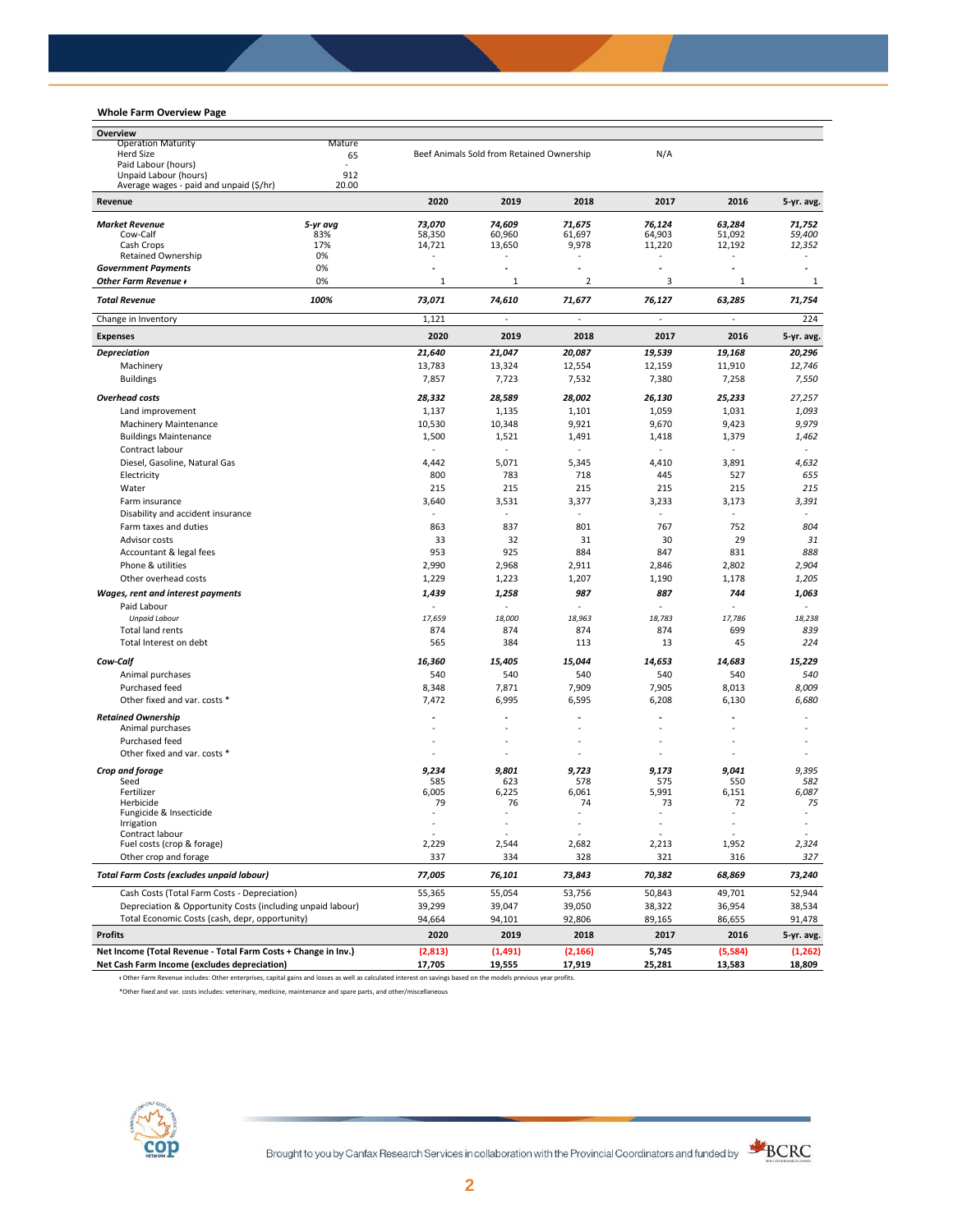## **Whole Farm Overview Page**

| Overview                                                       |               |                  |                                           |                |                                  |              |            |
|----------------------------------------------------------------|---------------|------------------|-------------------------------------------|----------------|----------------------------------|--------------|------------|
| <b>Operation Maturity</b>                                      |               |                  |                                           |                |                                  |              |            |
| <b>Herd Size</b><br>65                                         |               |                  | Beef Animals Sold from Retained Ownership |                | N/A                              |              |            |
| Paid Labour (hours)<br>Unpaid Labour (hours)                   | $\sim$<br>912 |                  |                                           |                |                                  |              |            |
| Average wages - paid and unpaid (\$/hr)                        | 20.00         |                  |                                           |                |                                  |              |            |
| Revenue                                                        |               | 2020             | 2019                                      | 2018           | 2017                             | 2016         | 5-yr. avg. |
| <b>Market Revenue</b>                                          | 5-yr avg      | 73,070           | 74,609                                    | 71,675         | 76,124                           | 63,284       | 71,752     |
| Cow-Calf                                                       | 83%           | 58,350           | 60,960                                    | 61,697         | 64,903                           | 51,092       | 59,400     |
| Cash Crops                                                     | 17%           | 14,721           | 13,650                                    | 9,978          | 11,220                           | 12,192       | 12,352     |
| <b>Retained Ownership</b>                                      | 0%            |                  |                                           |                |                                  |              |            |
| <b>Government Payments</b>                                     | 0%            | ä,               |                                           |                | $\tilde{\phantom{a}}$            | ä,           |            |
| Other Farm Revenue +                                           | 0%            | $\mathbf{1}$     | $\mathbf{1}$                              | $\overline{2}$ | 3                                | $\mathbf{1}$ | 1          |
| <b>Total Revenue</b>                                           | 100%          | 73,071           | 74,610                                    | 71,677         | 76,127                           | 63,285       | 71,754     |
| Change in Inventory                                            |               | 1,121<br>2020    | ä,<br>2019                                | 2018           | $\overline{\phantom{a}}$<br>2017 | ÷,<br>2016   | 224        |
| <b>Expenses</b>                                                |               |                  |                                           |                |                                  |              | 5-yr. avg. |
| <b>Depreciation</b>                                            |               | 21,640<br>13,783 | 21,047                                    | 20,087         | 19,539                           | 19,168       | 20,296     |
| Machinery<br><b>Buildings</b>                                  |               | 7,857            | 13,324<br>7,723                           | 12,554         | 12,159<br>7,380                  | 11,910       | 12,746     |
|                                                                |               |                  |                                           | 7,532          |                                  | 7,258        | 7,550      |
| <b>Overhead costs</b>                                          |               | 28,332           | 28,589                                    | 28,002         | 26,130                           | 25,233       | 27,257     |
| Land improvement                                               |               | 1,137            | 1,135                                     | 1,101          | 1,059                            | 1,031        | 1,093      |
| Machinery Maintenance                                          |               | 10,530           | 10,348                                    | 9,921          | 9,670                            | 9,423        | 9,979      |
| <b>Buildings Maintenance</b>                                   |               | 1,500            | 1,521                                     | 1,491          | 1,418                            | 1,379        | 1,462      |
| Contract labour                                                |               |                  |                                           |                |                                  |              |            |
| Diesel, Gasoline, Natural Gas                                  |               | 4,442            | 5,071                                     | 5,345          | 4,410                            | 3,891        | 4,632      |
| Electricity                                                    |               | 800              | 783                                       | 718            | 445                              | 527          | 655        |
| Water                                                          |               | 215              | 215                                       | 215            | 215                              | 215          | 215        |
| Farm insurance                                                 |               | 3,640            | 3,531                                     | 3,377          | 3,233                            | 3,173        | 3,391      |
| Disability and accident insurance                              |               |                  |                                           |                |                                  |              |            |
| Farm taxes and duties                                          |               | 863              | 837                                       | 801            | 767                              | 752          | 804        |
| Advisor costs                                                  |               | 33               | 32                                        | 31             | 30                               | 29           | 31         |
| Accountant & legal fees                                        |               | 953              | 925                                       | 884            | 847                              | 831          | 888        |
| Phone & utilities                                              |               | 2,990            | 2,968                                     | 2,911          | 2,846                            | 2,802        | 2,904      |
| Other overhead costs                                           |               | 1,229            | 1,223                                     | 1,207          | 1,190                            | 1,178        | 1,205      |
| Wages, rent and interest payments                              |               | 1,439            | 1,258                                     | 987            | 887                              | 744          | 1,063      |
| Paid Labour                                                    |               | ä,               |                                           |                |                                  |              |            |
| <b>Unpaid Labour</b>                                           |               | 17,659           | 18,000                                    | 18,963         | 18,783                           | 17,786       | 18,238     |
| <b>Total land rents</b>                                        |               | 874              | 874                                       | 874            | 874                              | 699          | 839        |
| Total Interest on debt                                         |               | 565              | 384                                       | 113            | 13                               | 45           | 224        |
| Cow-Calf                                                       |               | 16,360           | 15,405                                    | 15,044         | 14,653                           | 14,683       | 15,229     |
| Animal purchases                                               |               | 540              | 540                                       | 540            | 540                              | 540          | 540        |
| Purchased feed                                                 |               | 8,348            | 7,871                                     | 7,909          | 7,905                            | 8,013        | 8,009      |
| Other fixed and var. costs *                                   |               | 7,472            | 6,995                                     | 6,595          | 6,208                            | 6,130        | 6,680      |
| <b>Retained Ownership</b>                                      |               | ä,               |                                           |                |                                  |              |            |
| Animal purchases                                               |               |                  |                                           |                |                                  |              |            |
| Purchased feed                                                 |               |                  |                                           |                |                                  |              |            |
| Other fixed and var. costs *                                   |               |                  |                                           |                |                                  |              |            |
|                                                                |               |                  |                                           |                |                                  | 9,041        | 9,395      |
| Crop and forage<br>Seed                                        |               | 9,234<br>585     | 9,801<br>623                              | 9,723<br>578   | 9,173<br>575                     | 550          | 582        |
| Fertilizer                                                     |               | 6,005            | 6,225                                     | 6,061          | 5,991                            | 6,151        | 6,087      |
| Herbicide                                                      |               | 79               | 76                                        | 74             | 73                               | 72           | 75         |
| Fungicide & Insecticide                                        |               |                  | L,                                        |                |                                  |              | ä,         |
| <b>Irrigation</b><br>Contract labour                           |               |                  |                                           |                |                                  |              |            |
| Fuel costs (crop & forage)                                     |               | 2,229            | 2,544                                     | 2,682          | 2,213                            | 1,952        | 2,324      |
| Other crop and forage                                          |               | 337              | 334                                       | 328            | 321                              | 316          | 327        |
| <b>Total Farm Costs (excludes unpaid labour)</b>               |               | 77,005           | 76,101                                    | 73,843         | 70,382                           | 68,869       | 73,240     |
| Cash Costs (Total Farm Costs - Depreciation)                   |               | 55,365           | 55,054                                    | 53,756         | 50,843                           | 49,701       | 52,944     |
| Depreciation & Opportunity Costs (including unpaid labour)     |               | 39,299           | 39,047                                    | 39,050         | 38,322                           | 36,954       | 38,534     |
| Total Economic Costs (cash, depr, opportunity)                 |               | 94,664           | 94,101                                    | 92,806         | 89,165                           | 86,655       | 91,478     |
| <b>Profits</b>                                                 |               | 2020             | 2019                                      | 2018           | 2017                             | 2016         | 5-yr. avg. |
| Net Income (Total Revenue - Total Farm Costs + Change in Inv.) |               | (2,813)          | (1, 491)                                  | (2, 166)       | 5,745                            | (5,584)      | (1, 262)   |
| Net Cash Farm Income (excludes depreciation)                   |               | 17,705           | 19,555                                    | 17,919         | 25,281                           | 13,583       | 18,809     |

ᵻ Other Farm Revenue includes: Other enterprises, capital gains and losses as well as calculated interest on savings based on the models previous year profits.

\*Other fixed and var. costs includes: veterinary, medicine, maintenance and spare parts, and other/miscellaneous



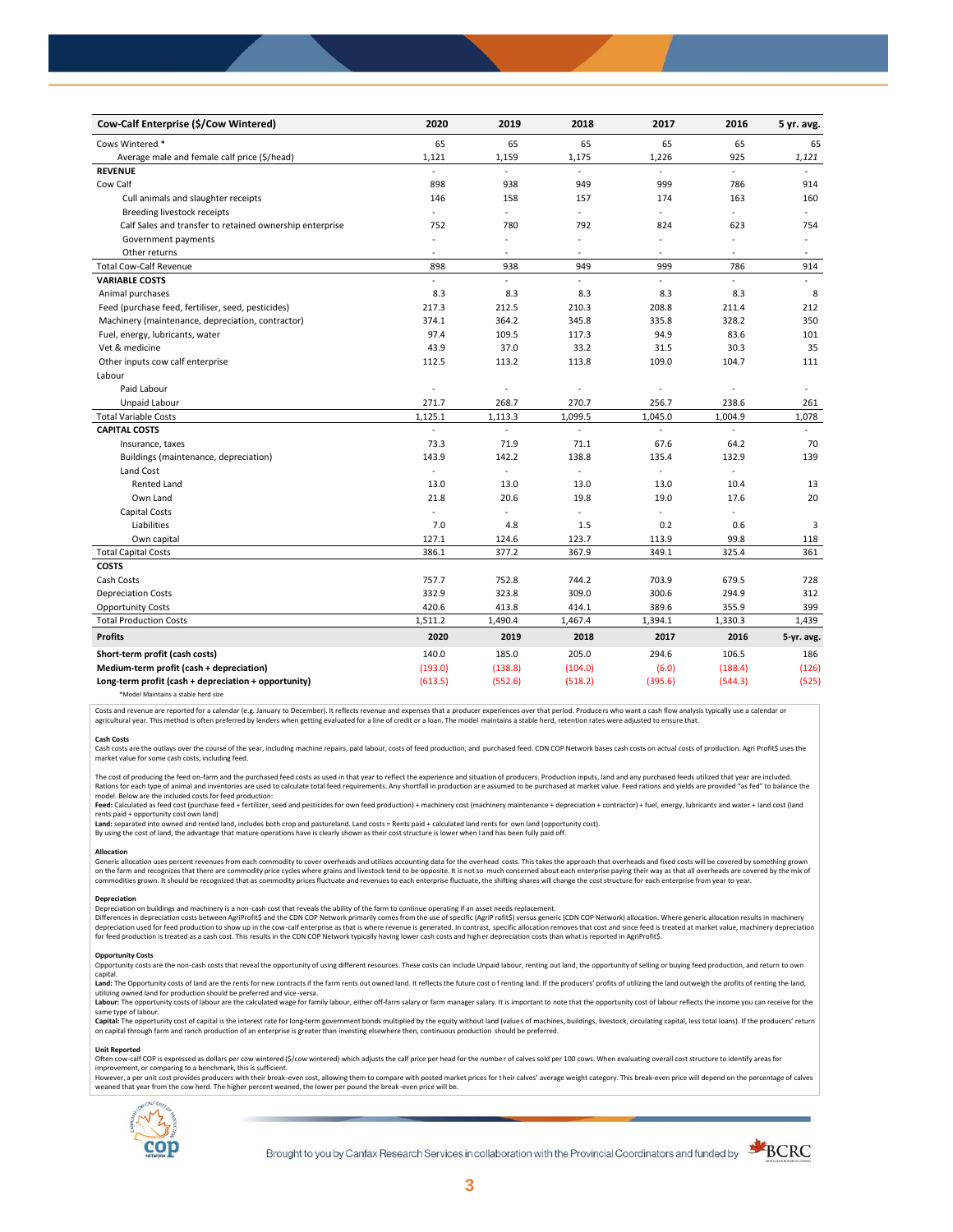| Cow-Calf Enterprise (\$/Cow Wintered)                    | 2020                     | 2019    | 2018                     | 2017                     | 2016    | 5 yr. avg. |
|----------------------------------------------------------|--------------------------|---------|--------------------------|--------------------------|---------|------------|
| Cows Wintered *                                          | 65                       | 65      | 65                       | 65                       | 65      | 65         |
| Average male and female calf price (\$/head)             | 1,121                    | 1,159   | 1,175                    | 1,226                    | 925     | 1,121      |
| <b>REVENUE</b>                                           |                          |         | $\omega$                 |                          | $\sim$  |            |
| Cow Calf                                                 | 898                      | 938     | 949                      | 999                      | 786     | 914        |
| Cull animals and slaughter receipts                      | 146                      | 158     | 157                      | 174                      | 163     | 160        |
| Breeding livestock receipts                              | ÷.                       | ÷,      | ÷.                       | $\overline{a}$           | ÷,      | $\omega$   |
| Calf Sales and transfer to retained ownership enterprise | 752                      | 780     | 792                      | 824                      | 623     | 754        |
| Government payments                                      |                          | ä,      |                          | $\sim$                   |         |            |
| Other returns                                            | ÷,                       |         |                          | $\sim$                   |         |            |
| <b>Total Cow-Calf Revenue</b>                            | 898                      | 938     | 949                      | 999                      | 786     | 914        |
| <b>VARIABLE COSTS</b>                                    | ÷                        | ÷,      | $\omega$                 | $\overline{a}$           |         |            |
| Animal purchases                                         | 8.3                      | 8.3     | 8.3                      | 8.3                      | 8.3     | 8          |
| Feed (purchase feed, fertiliser, seed, pesticides)       | 217.3                    | 212.5   | 210.3                    | 208.8                    | 211.4   | 212        |
| Machinery (maintenance, depreciation, contractor)        | 374.1                    | 364.2   | 345.8                    | 335.8                    | 328.2   | 350        |
| Fuel, energy, lubricants, water                          | 97.4                     | 109.5   | 117.3                    | 94.9                     | 83.6    | 101        |
| Vet & medicine                                           | 43.9                     | 37.0    | 33.2                     | 31.5                     | 30.3    | 35         |
| Other inputs cow calf enterprise                         | 112.5                    | 113.2   | 113.8                    | 109.0                    | 104.7   | 111        |
| Labour                                                   |                          |         |                          |                          |         |            |
| Paid Labour                                              | ä,                       | ä,      |                          |                          |         |            |
| Unpaid Labour                                            | 271.7                    | 268.7   | 270.7                    | 256.7                    | 238.6   | 261        |
| <b>Total Variable Costs</b>                              | 1,125.1                  | 1,113.3 | 1,099.5                  | 1,045.0                  | 1,004.9 | 1,078      |
| <b>CAPITAL COSTS</b>                                     | $\overline{\phantom{a}}$ | ÷,      | L.                       | ä,                       | $\sim$  | $\equiv$   |
| Insurance, taxes                                         | 73.3                     | 71.9    | 71.1                     | 67.6                     | 64.2    | 70         |
| Buildings (maintenance, depreciation)                    | 143.9                    | 142.2   | 138.8                    | 135.4                    | 132.9   | 139        |
| Land Cost                                                | ÷,                       | ä,      | ÷.                       | ä,                       | $\sim$  |            |
| <b>Rented Land</b>                                       | 13.0                     | 13.0    | 13.0                     | 13.0                     | 10.4    | 13         |
| Own Land                                                 | 21.8                     | 20.6    | 19.8                     | 19.0                     | 17.6    | 20         |
| Capital Costs                                            | ٠                        | ä,      | $\overline{\phantom{a}}$ | $\overline{\phantom{a}}$ |         |            |
| Liabilities                                              | 7.0                      | 4.8     | 1.5                      | 0.2                      | 0.6     | 3          |
| Own capital                                              | 127.1                    | 124.6   | 123.7                    | 113.9                    | 99.8    | 118        |
| <b>Total Capital Costs</b>                               | 386.1                    | 377.2   | 367.9                    | 349.1                    | 325.4   | 361        |
| <b>COSTS</b>                                             |                          |         |                          |                          |         |            |
| Cash Costs                                               | 757.7                    | 752.8   | 744.2                    | 703.9                    | 679.5   | 728        |
| <b>Depreciation Costs</b>                                | 332.9                    | 323.8   | 309.0                    | 300.6                    | 294.9   | 312        |
| <b>Opportunity Costs</b>                                 | 420.6                    | 413.8   | 414.1                    | 389.6                    | 355.9   | 399        |
| <b>Total Production Costs</b>                            | 1,511.2                  | 1,490.4 | 1,467.4                  | 1,394.1                  | 1,330.3 | 1,439      |
| <b>Profits</b>                                           | 2020                     | 2019    | 2018                     | 2017                     | 2016    | 5-yr. avg. |
| Short-term profit (cash costs)                           | 140.0                    | 185.0   | 205.0                    | 294.6                    | 106.5   | 186        |
| Medium-term profit (cash + depreciation)                 | (193.0)                  | (138.8) | (104.0)                  | (6.0)                    | (188.4) | (126)      |
| Long-term profit (cash + depreciation + opportunity)     | (613.5)                  | (552.6) | (518.2)                  | (395.6)                  | (544.3) | (525)      |
| *Model Maintains a stable herd size                      |                          |         |                          |                          |         |            |

Costs and revenue are reported for a calendar (e.g. January to December). It reflects revenue and expenses that a producer experiences over that period. Producers who want a cash flow analysis typically use a calendar or agricultural year. This method is often preferred by lenders when getting evaluated for a line of credit or a loan. The model maintains a stable herd, retention rates were adjusted to ensure that

C<mark>ash Costs</mark><br>Cash costs are the outlays over the course of the year, including machine repairs, paid labour, costs of feed production, and purchased feed. CDN COP Network bases cash costs on actual costs of production. Agr market value for some cash costs, including feed.

The cost of producing the feed on-farm and the purchased feed costs as used in that year to reflect the experience and situation of producers. Production inputs, land and any purchased feeds utilized that year are included model. Below are the included costs for feed production:

moder.outwhat was made used to receip would continuour.<br>**Feed:** Calculated as feed cost (purchase feed + fertilizer, seed and pesticides for own feed production) + machinery cost (machinery maintenance + depreciation + con rents paid + opportunity cost own land)

**Land:** separated into owned and rented land, includes both crop and pastureland. Land costs = Rents paid + calculated land rents for own land (opportunity cost).

By using the cost of land, the advantage that mature operations have is clearly shown as their cost structure is lower when l and has been fully paid off.

## **Allocation**

Generic allocation uses percent revenues from each commodity to cover overheads and utilizes accounting data for the overhead costs. This takes the approach that overheads and fixed costs will be covered by something grown commodities grown. It should be recognized that as commodity prices fluctuate and revenues to each enterprise fluctuate, the shifting shares will change the cost structure for each enterprise from year to year.

## **Depreciation**

Depreciation on buildings and machinery is a non-cash cost that reveals the ability of the farm to continue operating if an asset needs replacement. Differences in depreciation costs between AgriProfit\$ and the CDN COP Network primarily comes from the use of specific (AgriP rofit\$) versus generic (CDN COP Network) allocation. Where generic allocation results in machine

### **Opportunity Costs**

Provincing COSS are the non-cash costs that reveal the opportunity of using different resources. These costs can include Unpaid labour, renting out land, the opportunity of selling or buying feed production, and return to capital.

required.<br>Land: The Opportunity costs of land are the rents for new contracts if the farm rents out owned land. It reflects the future cost of renting land. If the producers' profits of utilizing the land outweigh the prof utilizing owned land for production should be preferred and vice-versa.<br>**Labour:** The opportunity costs of labour are the calculated wage for family labour, either off-farm salary or farm manager salary. It is important to

same type of labour.

**Capita**l: The opportunity cost of capital is the interest rate for long-term government bonds multiplied by the equity without land (values of machines, buildings, livestock, circulating capital, less total loans). If the

### **Unit Reported**

Often cow-calf COP is expressed as dollars per cow wintered (\$/cow wintered) which adjusts the calf price per head for the number of calves sold per 100 cows. When evaluating overall cost structure to identify areas for<br>im

however..export of the structure with the structure of the break-even cost. allowing them to compare with posted market prices for their calves' average weight category. This break-even price will depend on the percentage weaned that year from the cow herd. The higher percent weaned, the lower per pound the break -even price will be.